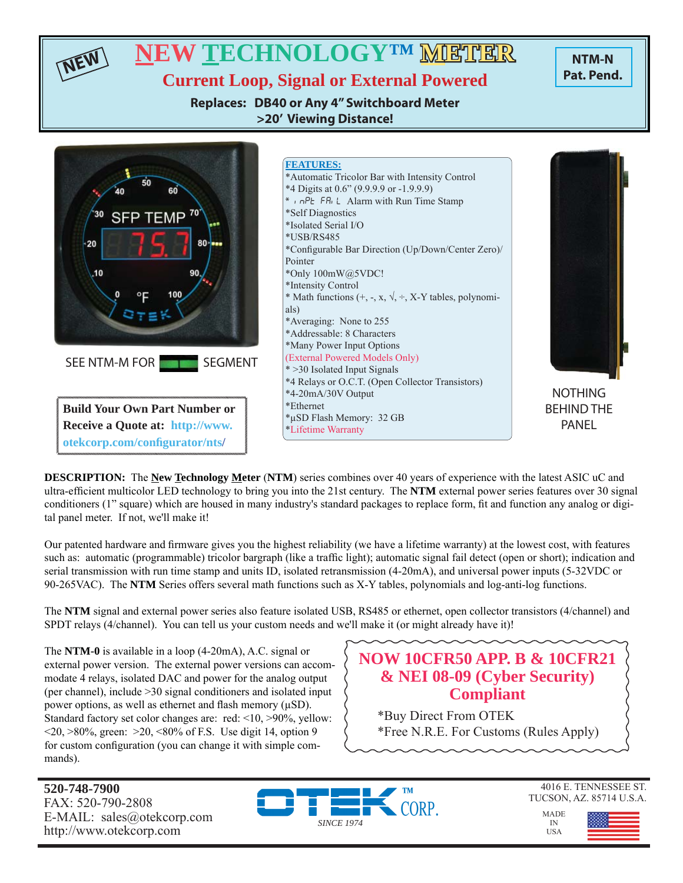

**DESCRIPTION:** The **New Technology Meter** (**NTM**) series combines over 40 years of experience with the latest ASIC uC and ultra-efficient multicolor LED technology to bring you into the 21st century. The **NTM** external power series features over 30 signal conditioners (1" square) which are housed in many industry's standard packages to replace form, fi t and function any analog or digital panel meter. If not, we'll make it!

Our patented hardware and firmware gives you the highest reliability (we have a lifetime warranty) at the lowest cost, with features such as: automatic (programmable) tricolor bargraph (like a traffic light); automatic signal fail detect (open or short); indication and serial transmission with run time stamp and units ID, isolated retransmission (4-20mA), and universal power inputs (5-32VDC or 90-265VAC). The **NTM** Series offers several math functions such as X-Y tables, polynomials and log-anti-log functions.

The **NTM** signal and external power series also feature isolated USB, RS485 or ethernet, open collector transistors (4/channel) and SPDT relays (4/channel). You can tell us your custom needs and we'll make it (or might already have it)!

The **NTM-0** is available in a loop (4-20mA), A.C. signal or external power version. The external power versions can accommodate 4 relays, isolated DAC and power for the analog output (per channel), include >30 signal conditioners and isolated input power options, as well as ethernet and flash memory  $(\mu SD)$ . Standard factory set color changes are: red: <10, >90%, yellow:  $\langle 20, \rangle 80\%$ , green:  $\langle 20, \langle 80, \rangle 60$  f F.S. Use digit 14, option 9 for custom configuration (you can change it with simple commands).

# **NOW 10CFR50 APP. B & 10CFR21 & NEI 08-09 (Cyber Security) Compliant**

\*Buy Direct From OTEK \*Free N.R.E. For Customs (Rules Apply)

**520-748-7900** FAX: 520-790-2808 E-MAIL: sales@otekcorp.com http://www.otekcorp.com





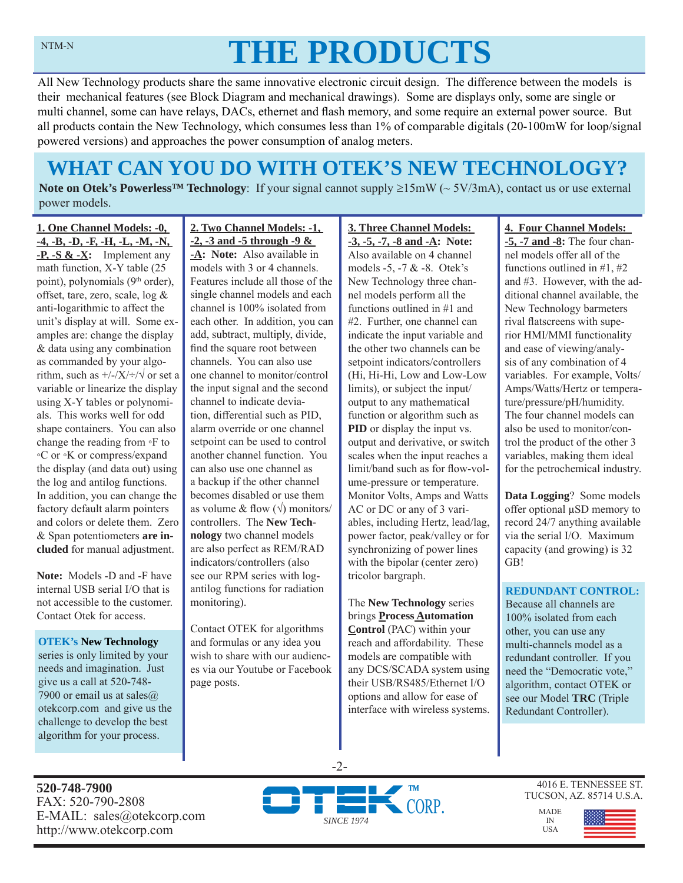# **THE PRODUCTS**

All New Technology products share the same innovative electronic circuit design. The difference between the models is their mechanical features (see Block Diagram and mechanical drawings). Some are displays only, some are single or multi channel, some can have relays, DACs, ethernet and flash memory, and some require an external power source. But all products contain the New Technology, which consumes less than 1% of comparable digitals (20-100mW for loop/signal powered versions) and approaches the power consumption of analog meters.

# **WHAT CAN YOU DO WITH OTEK'S NEW TECHNOLOGY?**

**Note on Otek's Powerless<sup>TM</sup> Technology**: If your signal cannot supply  $\geq 15 \text{mW}$  ( $\sim 5V/3 \text{mA}$ ), contact us or use external power models.

**1. One Channel Models: -0, -4, -B, -D, -F, -H, -L, -M, -N, -P, -S & -X:** Implement any math function, X-Y table (25 point), polynomials (9<sup>th</sup> order), offset, tare, zero, scale, log & anti-logarithmic to affect the unit's display at will. Some examples are: change the display & data using any combination as commanded by your algorithm, such as  $\frac{+}{-}\times\frac{+}{\sqrt{}}$  or set a variable or linearize the display using X-Y tables or polynomials. This works well for odd shape containers. You can also change the reading from ◦F to ◦C or ◦K or compress/expand the display (and data out) using the log and antilog functions. In addition, you can change the factory default alarm pointers and colors or delete them. Zero & Span potentiometers **are included** for manual adjustment.

**Note:** Models -D and -F have internal USB serial I/O that is not accessible to the customer. Contact Otek for access.

**OTEK's New Technology**  series is only limited by your needs and imagination. Just give us a call at 520-748- 7900 or email us at sales@ otekcorp.com and give us the challenge to develop the best algorithm for your process.

**2. Two Channel Models: -1, -2, -3 and -5 through -9 & -A: Note:** Also available in

models with 3 or 4 channels. Features include all those of the single channel models and each channel is 100% isolated from each other. In addition, you can add, subtract, multiply, divide, find the square root between channels. You can also use one channel to monitor/control the input signal and the second channel to indicate deviation, differential such as PID, alarm override or one channel setpoint can be used to control another channel function. You can also use one channel as a backup if the other channel becomes disabled or use them as volume & flow  $(\sqrt{})$  monitors/ controllers. The **New Technology** two channel models are also perfect as REM/RAD indicators/controllers (also see our RPM series with logantilog functions for radiation monitoring).

Contact OTEK for algorithms and formulas or any idea you wish to share with our audiences via our Youtube or Facebook page posts.

**3. Three Channel Models: -3, -5, -7, -8 and -A: Note:**  Also available on 4 channel models -5, -7 & -8. Otek's New Technology three channel models perform all the functions outlined in #1 and #2. Further, one channel can indicate the input variable and the other two channels can be setpoint indicators/controllers (Hi, Hi-Hi, Low and Low-Low limits), or subject the input/ output to any mathematical function or algorithm such as **PID** or display the input vs. output and derivative, or switch scales when the input reaches a limit/band such as for flow-volume-pressure or temperature. Monitor Volts, Amps and Watts AC or DC or any of 3 variables, including Hertz, lead/lag, power factor, peak/valley or for synchronizing of power lines with the bipolar (center zero) tricolor bargraph.

The **New Technology** series brings **Process Automation Control** (PAC) within your reach and affordability. These models are compatible with any DCS/SCADA system using their USB/RS485/Ethernet I/O options and allow for ease of interface with wireless systems.

### **4. Four Channel Models:**

**-5, -7 and -8:** The four channel models offer all of the functions outlined in #1, #2 and #3. However, with the additional channel available, the New Technology barmeters rival flatscreens with superior HMI/MMI functionality and ease of viewing/analysis of any combination of 4 variables. For example, Volts/ Amps/Watts/Hertz or temperature/pressure/pH/humidity. The four channel models can also be used to monitor/control the product of the other 3 variables, making them ideal for the petrochemical industry.

**Data Logging**? Some models offer optional μSD memory to record 24/7 anything available via the serial I/O. Maximum capacity (and growing) is 32 GB!

### **REDUNDANT CONTROL:**

Because all channels are 100% isolated from each other, you can use any multi-channels model as a redundant controller. If you need the "Democratic vote," algorithm, contact OTEK or see our Model **TRC** (Triple Redundant Controller).

**520-748-7900** FAX: 520-790-2808 E-MAIL: sales@otekcorp.com http://www.otekcorp.com



-2-

4016 E. TENNESSEE ST. TUCSON, AZ. 85714 U.S.A.

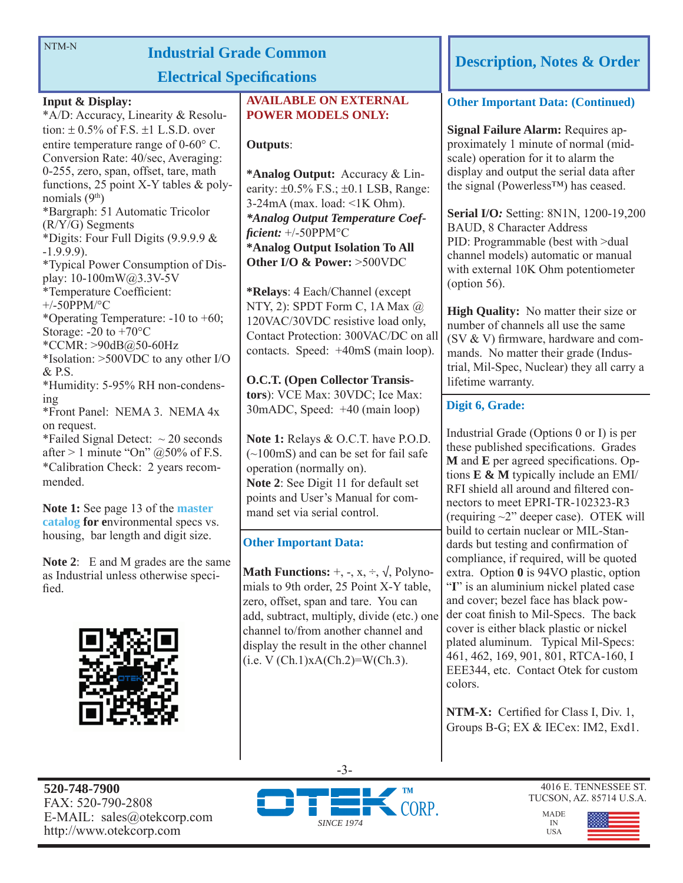NTM-N

# **Industrial Grade Common**

# **Electrical Specifications**

### **Input & Display:**

\*A/D: Accuracy, Linearity & Resolution:  $\pm$  0.5% of F.S.  $\pm$ 1 L.S.D. over entire temperature range of  $0\n-60^{\circ}$  C. Conversion Rate: 40/sec, Averaging: 0-255, zero, span, offset, tare, math functions, 25 point X-Y tables & polynomials (9th) \*Bargraph: 51 Automatic Tricolor (R/Y/G) Segments \*Digits: Four Full Digits (9.9.9.9 & -1.9.9.9). \*Typical Power Consumption of Display: 10-100mW@3.3V-5V \*Temperature Coefficient: +/-50PPM/°C \*Operating Temperature: -10 to +60; Storage:  $-20$  to  $+70^{\circ}$ C \*CCMR: >90dB@50-60Hz \*Isolation: >500VDC to any other I/O & P.S. \*Humidity: 5-95% RH non-condensing \*Front Panel: NEMA 3. NEMA 4x on request. \*Failed Signal Detect:  $\sim$  20 seconds

after > 1 minute "On"  $@50\%$  of F.S. \*Calibration Check: 2 years recommended.

**Note 1:** See page 13 of the **master catalog for e**nvironmental specs vs. housing, bar length and digit size.

**Note 2**: E and M grades are the same as Industrial unless otherwise specified.



# **AVAILABLE ON EXTERNAL POWER MODELS ONLY:**

### **Outputs**:

**\*Analog Output:** Accuracy & Linearity:  $\pm 0.5\%$  F.S.;  $\pm 0.1$  LSB, Range: 3-24mA (max. load: <1K Ohm). *\*Analog Output Temperature Coeffi cient:* +/-50PPM°C **\*Analog Output Isolation To All Other I/O & Power:** >500VDC

**\*Relays**: 4 Each/Channel (except NTY, 2): SPDT Form C, 1A Max @ 120VAC/30VDC resistive load only, Contact Protection: 300VAC/DC on all contacts. Speed: +40mS (main loop).

**O.C.T. (Open Collector Transistors**): VCE Max: 30VDC; Ice Max: 30mADC, Speed: +40 (main loop)

**Note 1:** Relays & O.C.T. have P.O.D. (~100mS) and can be set for fail safe operation (normally on). **Note 2**: See Digit 11 for default set points and User's Manual for command set via serial control.

# **Other Important Data:**

**Math Functions:**  $+$ ,  $-$ ,  $x$ ,  $\div$ ,  $\sqrt{}$ , Polynomials to 9th order, 25 Point X-Y table, zero, offset, span and tare. You can add, subtract, multiply, divide (etc.) one channel to/from another channel and display the result in the other channel  $(i.e. V (Ch.1)xA(Ch.2)=W(Ch.3).$ 

# **Description, Notes & Order**

### **Other Important Data: (Continued)**

**Signal Failure Alarm:** Requires approximately 1 minute of normal (midscale) operation for it to alarm the display and output the serial data after the signal (Powerless™) has ceased.

**Serial I/O***:* Setting: 8N1N, 1200-19,200 BAUD, 8 Character Address PID: Programmable (best with >dual channel models) automatic or manual with external 10K Ohm potentiometer (option 56).

**High Quality:** No matter their size or number of channels all use the same  $(SV & V)$  firmware, hardware and commands. No matter their grade (Industrial, Mil-Spec, Nuclear) they all carry a lifetime warranty.

# **Digit 6, Grade:**

Industrial Grade (Options 0 or I) is per these published specifications. Grades **M** and **E** per agreed specifications. Options **E & M** typically include an EMI/ RFI shield all around and filtered connectors to meet EPRI-TR-102323-R3 (requiring ~2" deeper case). OTEK will build to certain nuclear or MIL-Standards but testing and confirmation of compliance, if required, will be quoted extra. Option **0** is 94VO plastic, option "**I**" is an aluminium nickel plated case and cover; bezel face has black powder coat finish to Mil-Specs. The back cover is either black plastic or nickel plated aluminum. Typical Mil-Specs: 461, 462, 169, 901, 801, RTCA-160, I EEE344, etc. Contact Otek for custom colors.

**NTM-X:** Certified for Class I, Div. 1, Groups B-G; EX & IECex: IM2, Exd1.

**520-748-7900** FAX: 520-790-2808 E-MAIL: sales@otekcorp.com http://www.otekcorp.com



4016 E. TENNESSEE ST. TUCSON, AZ. 85714 U.S.A.

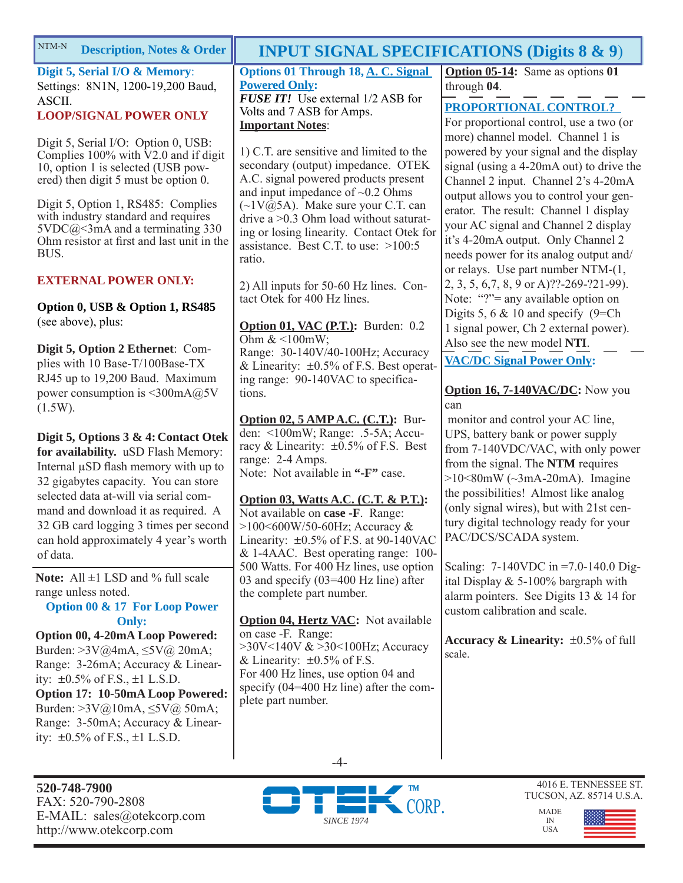| NTM-N<br><b>Description, Notes &amp; Order</b>                                                                                                                        | <b>INPUT SIGNAL SPECIFICATIONS (Digits 8 &amp; 9)</b>                                                                                                                                                                                                                                                                                                                                                                                                  |                                                                                                                                                                                                                                               |
|-----------------------------------------------------------------------------------------------------------------------------------------------------------------------|--------------------------------------------------------------------------------------------------------------------------------------------------------------------------------------------------------------------------------------------------------------------------------------------------------------------------------------------------------------------------------------------------------------------------------------------------------|-----------------------------------------------------------------------------------------------------------------------------------------------------------------------------------------------------------------------------------------------|
| Digit 5, Serial I/O & Memory:<br>Settings: 8N1N, 1200-19,200 Baud,<br>ASCII.                                                                                          | Options 01 Through 18, A. C. Signal<br><b>Powered Only:</b><br><b>FUSE IT!</b> Use external 1/2 ASB for                                                                                                                                                                                                                                                                                                                                                | <b>Option 05-14:</b> Same as options 01<br>through 04.                                                                                                                                                                                        |
| <b>LOOP/SIGNAL POWER ONLY</b>                                                                                                                                         | Volts and 7 ASB for Amps.<br><b>Important Notes:</b>                                                                                                                                                                                                                                                                                                                                                                                                   | PROPORTIONAL CONTROL?<br>For proportional control, use a two (or<br>more) channel model. Channel 1 is                                                                                                                                         |
| Digit 5, Serial I/O: Option 0, USB:<br>Complies $100\%$ with $\dot{V}$ 2.0 and if digit<br>10, option 1 is selected (USB pow-<br>ered) then digit 5 must be option 0. | 1) C.T. are sensitive and limited to the<br>secondary (output) impedance. OTEK<br>A.C. signal powered products present<br>and input impedance of $\sim 0.2$ Ohms                                                                                                                                                                                                                                                                                       | powered by your signal and the display<br>signal (using a 4-20mA out) to drive the<br>Channel 2 input. Channel 2's 4-20mA                                                                                                                     |
| Digit 5, Option 1, RS485: Complies<br>with industry standard and requires<br>$5VDC@3mA$ and a terminating 330<br>Ohm resistor at first and last unit in the<br>BUS.   | $(\sim 1 \text{V}(\hat{\omega})$ . Make sure your C.T. can<br>drive a $>0.3$ Ohm load without saturat-<br>ing or losing linearity. Contact Otek for<br>assistance. Best C.T. to use: $>100:5$<br>ratio.                                                                                                                                                                                                                                                | output allows you to control your gen-<br>erator. The result: Channel 1 display<br>your AC signal and Channel 2 display<br>it's 4-20mA output. Only Channel 2<br>needs power for its analog output and/<br>or relays. Use part number NTM-(1, |
| <b>EXTERNAL POWER ONLY:</b>                                                                                                                                           | 2) All inputs for 50-60 Hz lines. Con-                                                                                                                                                                                                                                                                                                                                                                                                                 | 2, 3, 5, 6, 7, 8, 9 or A)??-269-?21-99).                                                                                                                                                                                                      |
| Option 0, USB & Option 1, RS485<br>(see above), plus:                                                                                                                 | tact Otek for 400 Hz lines.<br>Option 01, VAC (P.T.): Burden: 0.2<br>$\bigcap$ $\bigcap$ $\bigcap$ $\bigcap$ $\bigcap$ $\bigcap$ $\bigcap$ $\bigcap$ $\bigcap$ $\bigcap$ $\bigcap$ $\bigcap$ $\bigcap$ $\bigcap$ $\bigcap$ $\bigcap$ $\bigcap$ $\bigcap$ $\bigcap$ $\bigcap$ $\bigcap$ $\bigcap$ $\bigcap$ $\bigcap$ $\bigcap$ $\bigcap$ $\bigcap$ $\bigcap$ $\bigcap$ $\bigcap$ $\bigcap$ $\bigcap$ $\bigcap$ $\bigcap$ $\bigcap$ $\bigcap$ $\bigcap$ | Note: "?"= any available option on<br>Digits 5, 6 $& 10$ and specify (9=Ch)<br>1 signal power, Ch 2 external power).                                                                                                                          |

**Digit 5, Option 2 Ethernet**: Complies with 10 Base-T/100Base-TX RJ45 up to 19,200 Baud. Maximum power consumption is <300mA@5V  $(1.5W)$ .

**Digit 5, Options 3 & 4: Contact Otek for availability.** uSD Flash Memory: Internal  $\mu$ SD flash memory with up to 32 gigabytes capacity. You can store selected data at-will via serial command and download it as required. A 32 GB card logging 3 times per second can hold approximately 4 year's worth of data.

Note: All  $\pm$ 1 LSD and % full scale range unless noted.

### **Option 00 & 17 For Loop Power Only:**

**Option 00, 4-20mA Loop Powered:**  Burden: >3V@4mA, ≤5V@ 20mA; Range: 3-26mA; Accuracy & Linearity:  $\pm 0.5\%$  of F.S.,  $\pm 1$  L.S.D. **Option 17: 10-50mA Loop Powered:** 

Burden: >3V@10mA, ≤5V@ 50mA; Range: 3-50mA; Accuracy & Linearity:  $\pm 0.5\%$  of F.S.,  $\pm 1$  L.S.D.

### **520-748-7900** FAX: 520-790-2808 E-MAIL: sales@otekcorp.com http://www.otekcorp.com

Ohm  $<100$ mW; Range: 30-140V/40-100Hz; Accuracy & Linearity:  $\pm 0.5\%$  of F.S. Best operating range: 90-140VAC to specifications.

**Option 02, 5 AMP A.C. (C.T.):** Burden: <100mW; Range: .5-5A; Accuracy & Linearity: ±0.5% of F.S. Best range: 2-4 Amps. Note: Not available in **"-F"** case.

### **Option 03, Watts A.C. (C.T. & P.T.):** Not available on **case -F**. Range:

>100<600W/50-60Hz; Accuracy & Linearity: ±0.5% of F.S. at 90-140VAC & 1-4AAC. Best operating range: 100- 500 Watts. For 400 Hz lines, use option 03 and specify (03=400 Hz line) after the complete part number.

**Option 04, Hertz VAC:** Not available on case -F. Range: >30V<140V & >30<100Hz; Accuracy & Linearity:  $\pm 0.5\%$  of F.S. For 400 Hz lines, use option 04 and specify (04=400 Hz line) after the complete part number.

-4-

Also see the new model **NTI**.

**VAC/DC Signal Power Only:**

## **Option 16, 7-140VAC/DC:** Now you can

 monitor and control your AC line, UPS, battery bank or power supply from 7-140VDC/VAC, with only power from the signal. The **NTM** requires  $>10<80$ mW ( $\sim$ 3mA-20mA). Imagine the possibilities! Almost like analog (only signal wires), but with 21st century digital technology ready for your PAC/DCS/SCADA system.

Scaling: 7-140VDC in =7.0-140.0 Digital Display & 5-100% bargraph with alarm pointers. See Digits 13 & 14 for custom calibration and scale.

**Accuracy & Linearity:**  $\pm 0.5\%$  of full scale.



4016 E. TENNESSEE ST. TUCSON, AZ. 85714 U.S.A.

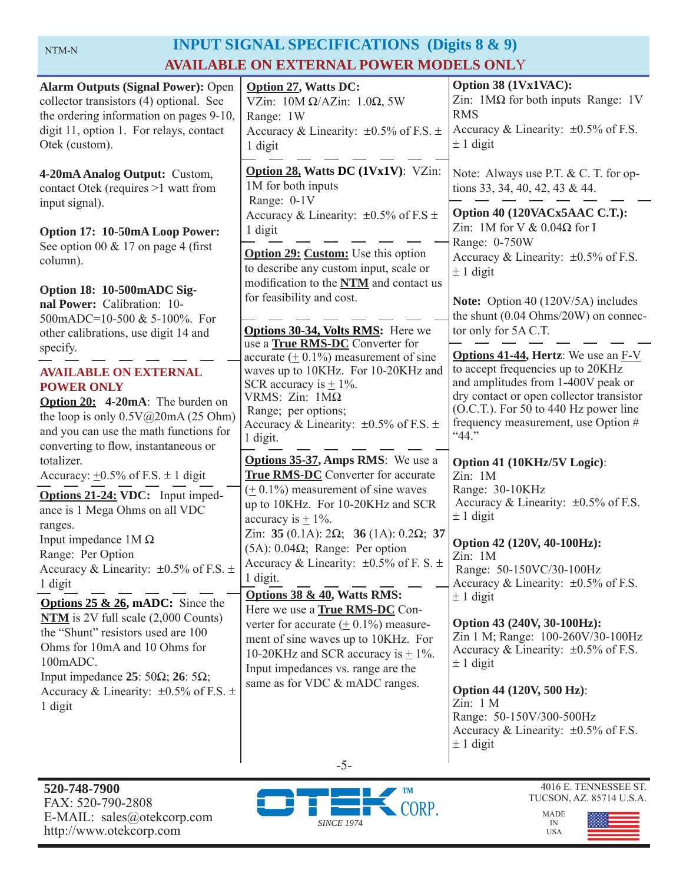# NTM-N **INPUT SIGNAL SPECIFICATIONS** (Digits 8 & 9) **AVAILABLE ON EXTERNAL POWER MODELS ONL**Y

| <b>Alarm Outputs (Signal Power): Open</b><br>collector transistors (4) optional. See<br>the ordering information on pages 9-10,<br>digit 11, option 1. For relays, contact<br>Otek (custom).                                    | <b>Option 27, Watts DC:</b><br>VZin: $10M \Omega/AZ$ in: $1.0\Omega$ , 5W<br>Range: 1W<br>Accuracy & Linearity: $\pm 0.5\%$ of F.S. $\pm$<br>1 digit                                                                                    | Option 38 (1Vx1VAC):<br>Zin: $1\text{M}\Omega$ for both inputs Range: 1V<br><b>RMS</b><br>Accuracy & Linearity: $\pm 0.5\%$ of F.S.<br>$\pm$ 1 digit                                                                                                        |
|---------------------------------------------------------------------------------------------------------------------------------------------------------------------------------------------------------------------------------|-----------------------------------------------------------------------------------------------------------------------------------------------------------------------------------------------------------------------------------------|-------------------------------------------------------------------------------------------------------------------------------------------------------------------------------------------------------------------------------------------------------------|
| 4-20mA Analog Output: Custom,<br>contact Otek (requires >1 watt from<br>input signal).                                                                                                                                          | Option 28, Watts DC (1Vx1V): VZin:<br>1M for both inputs<br>Range: 0-1V                                                                                                                                                                 | Note: Always use P.T. & C. T. for op-<br>tions 33, 34, 40, 42, 43 & 44.                                                                                                                                                                                     |
| Option 17: 10-50mA Loop Power:<br>See option 00 $& 17$ on page 4 (first<br>column).                                                                                                                                             | Accuracy & Linearity: $\pm 0.5\%$ of F.S $\pm$<br>1 digit<br><b>Option 29: Custom:</b> Use this option<br>to describe any custom input, scale or<br>modification to the NTM and contact us                                              | Option 40 (120VACx5AAC C.T.):<br>Zin: 1M for V & $0.04\Omega$ for I<br>Range: 0-750W<br>Accuracy & Linearity: $\pm 0.5\%$ of F.S.<br>$± 1$ digit                                                                                                            |
| Option 18: 10-500mADC Sig-<br>nal Power: Calibration: 10-<br>500mADC=10-500 & 5-100%. For<br>other calibrations, use digit 14 and                                                                                               | for feasibility and cost.<br>Options 30-34, Volts RMS: Here we<br>use a True RMS-DC Converter for                                                                                                                                       | Note: Option 40 (120V/5A) includes<br>the shunt $(0.04 \text{ Ohms}/20 \text{W})$ on connec-<br>tor only for 5A C.T.                                                                                                                                        |
| specify.<br><b>AVAILABLE ON EXTERNAL</b><br><b>POWER ONLY</b><br>Option 20: 4-20mA: The burden on<br>the loop is only $0.5V@20mA(25 Ohm)$<br>and you can use the math functions for<br>converting to flow, instantaneous or     | accurate $(± 0.1\%)$ measurement of sine<br>waves up to 10KHz. For 10-20KHz and<br>SCR accuracy is $\pm$ 1%.<br>VRMS: Zin: $1M\Omega$<br>Range; per options;<br>Accuracy & Linearity: $\pm 0.5\%$ of F.S. $\pm$<br>1 digit.             | <b>Options 41-44, Hertz:</b> We use an F-V<br>to accept frequencies up to 20KHz<br>and amplitudes from 1-400V peak or<br>dry contact or open collector transistor<br>(O.C.T.). For 50 to 440 Hz power line<br>frequency measurement, use Option #<br>``44." |
| totalizer.<br>Accuracy: $\pm 0.5\%$ of F.S. $\pm 1$ digit<br>Options 21-24: VDC: Input imped-<br>ance is 1 Mega Ohms on all VDC                                                                                                 | Options 35-37, Amps RMS: We use a<br><b>True RMS-DC</b> Converter for accurate<br>$(± 0.1%)$ measurement of sine waves<br>up to 10KHz. For 10-20KHz and SCR                                                                             | Option 41 (10KHz/5V Logic):<br>Zin: 1M<br>Range: 30-10KHz<br>Accuracy & Linearity: $\pm 0.5\%$ of F.S.                                                                                                                                                      |
| ranges.<br>Input impedance $1M\Omega$<br>Range: Per Option<br>Accuracy & Linearity: $\pm 0.5\%$ of F.S. $\pm$<br>1 digit                                                                                                        | accuracy is $\pm$ 1%.<br>Zin: 35 (0.1A): $2\Omega$ ; 36 (1A): 0.2 $\Omega$ ; 37<br>$(5A)$ : 0.04 $\Omega$ ; Range: Per option<br>Accuracy & Linearity: $\pm 0.5\%$ of F. S. $\pm$<br>1 digit.<br><b>Options 38 &amp; 40, Watts RMS:</b> | $\pm$ 1 digit<br>Option 42 (120V, 40-100Hz):<br>Zin: 1M<br>Range: 50-150VC/30-100Hz<br>Accuracy & Linearity: $\pm 0.5\%$ of F.S.<br>$\pm$ 1 digit                                                                                                           |
| <b>Options 25 &amp; 26, mADC:</b> Since the<br>$NTM$ is 2V full scale $(2,000$ Counts)<br>the "Shunt" resistors used are 100<br>Ohms for 10mA and 10 Ohms for<br>100mADC.<br>Input impedance 25: 50 $\Omega$ ; 26: 5 $\Omega$ ; | Here we use a <b>True RMS-DC</b> Con-<br>verter for accurate $(± 0.1%)$ measure-<br>ment of sine waves up to 10KHz. For<br>10-20KHz and SCR accuracy is $\pm$ 1%.<br>Input impedances vs. range are the                                 | Option 43 (240V, 30-100Hz):<br>Zin 1 M; Range: 100-260V/30-100Hz<br>Accuracy & Linearity: $\pm 0.5\%$ of F.S.<br>$\pm$ 1 digit                                                                                                                              |
| Accuracy & Linearity: $\pm 0.5\%$ of F.S. $\pm$<br>1 digit                                                                                                                                                                      | same as for VDC & mADC ranges.                                                                                                                                                                                                          | Option 44 (120V, 500 Hz):<br>Zin: 1 M<br>Range: 50-150V/300-500Hz<br>Accuracy & Linearity: $\pm 0.5\%$ of F.S.<br>$\pm$ 1 digit                                                                                                                             |
|                                                                                                                                                                                                                                 | $-5-$                                                                                                                                                                                                                                   |                                                                                                                                                                                                                                                             |





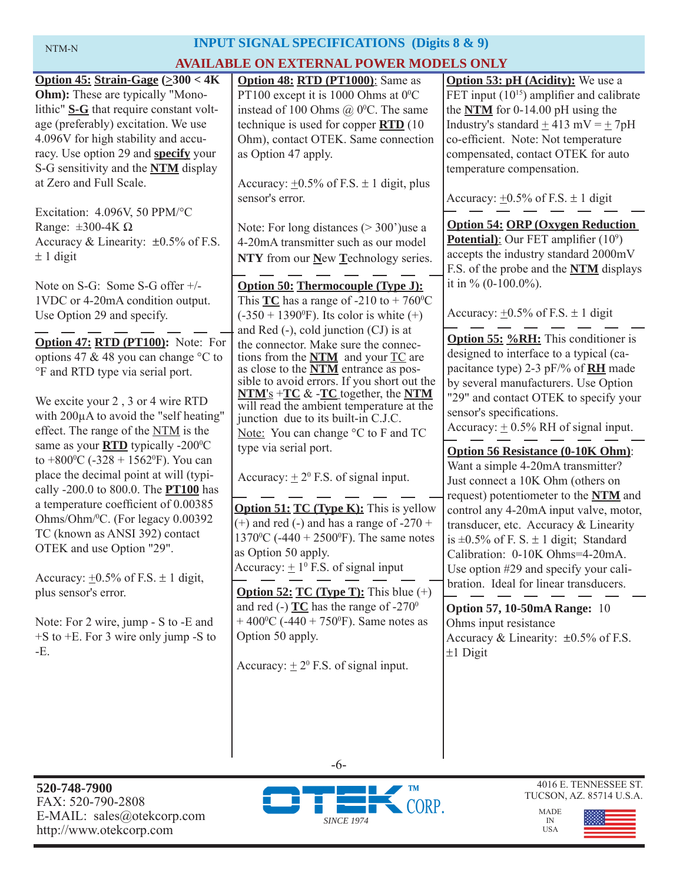# **INPUT SIGNAL SPECIFICATIONS (Digits 8 & 9)**

# **AVAILABLE ON EXTERNAL POWER MODELS ONLY**

| AVAILABLE ON EXTERNAL POWER MODELS ONLY                                                                                                                                                                                                                                                                                                                                                                                                                                                                                                                                                                                                                                                                                                                                                                                                                                                                                                                                                                                                                                                                                                                                                                                                                                                                                      |                                                                                                                                                                                                                                                                                                                                                                                                                                                                                                                                                                                                                                                                                                                                                                                                                                                                                                                                                                                                                                                                                                                                                                                                                                                                                                                                                                                                                                                                                                                                                        |                                                                                                                                                                                                                                                                                                                                                                                                                                                                                                                                                                                                                                                                                                                                                                                                                                                                                                                                                                                                                                                                                                                                                                                                                                                                                                                                                                                                                                                                |  |  |
|------------------------------------------------------------------------------------------------------------------------------------------------------------------------------------------------------------------------------------------------------------------------------------------------------------------------------------------------------------------------------------------------------------------------------------------------------------------------------------------------------------------------------------------------------------------------------------------------------------------------------------------------------------------------------------------------------------------------------------------------------------------------------------------------------------------------------------------------------------------------------------------------------------------------------------------------------------------------------------------------------------------------------------------------------------------------------------------------------------------------------------------------------------------------------------------------------------------------------------------------------------------------------------------------------------------------------|--------------------------------------------------------------------------------------------------------------------------------------------------------------------------------------------------------------------------------------------------------------------------------------------------------------------------------------------------------------------------------------------------------------------------------------------------------------------------------------------------------------------------------------------------------------------------------------------------------------------------------------------------------------------------------------------------------------------------------------------------------------------------------------------------------------------------------------------------------------------------------------------------------------------------------------------------------------------------------------------------------------------------------------------------------------------------------------------------------------------------------------------------------------------------------------------------------------------------------------------------------------------------------------------------------------------------------------------------------------------------------------------------------------------------------------------------------------------------------------------------------------------------------------------------------|----------------------------------------------------------------------------------------------------------------------------------------------------------------------------------------------------------------------------------------------------------------------------------------------------------------------------------------------------------------------------------------------------------------------------------------------------------------------------------------------------------------------------------------------------------------------------------------------------------------------------------------------------------------------------------------------------------------------------------------------------------------------------------------------------------------------------------------------------------------------------------------------------------------------------------------------------------------------------------------------------------------------------------------------------------------------------------------------------------------------------------------------------------------------------------------------------------------------------------------------------------------------------------------------------------------------------------------------------------------------------------------------------------------------------------------------------------------|--|--|
| Option 45: Strain-Gage $(\geq 300 < 4K)$<br><b>Ohm</b> ): These are typically "Mono-<br>lithic" S-G that require constant volt-<br>age (preferably) excitation. We use<br>4.096V for high stability and accu-<br>racy. Use option 29 and specify your<br>S-G sensitivity and the <b>NTM</b> display<br>at Zero and Full Scale.<br>Excitation: 4.096V, 50 PPM/°C<br>Range: $\pm 300 - 4K \Omega$<br>Accuracy & Linearity: $\pm 0.5\%$ of F.S.<br>$\pm$ 1 digit<br>Note on S-G: Some S-G offer +/-<br>1VDC or 4-20mA condition output.<br>Use Option 29 and specify.<br>Option 47: RTD (PT100): Note: For<br>options 47 & 48 you can change $\degree$ C to<br>°F and RTD type via serial port.<br>We excite your 2, 3 or 4 wire RTD<br>with 200µA to avoid the "self heating"<br>effect. The range of the NTM is the<br>same as your <b>RTD</b> typically -200°C<br>to +800 °C (-328 + 1562 °F). You can<br>place the decimal point at will (typi-<br>cally -200.0 to 800.0. The <b>PT100</b> has<br>a temperature coefficient of 0.00385<br>Ohms/Ohm/ <sup>0</sup> C. (For legacy 0.00392<br>TC (known as ANSI 392) contact<br>OTEK and use Option "29".<br>Accuracy: $\pm 0.5\%$ of F.S. $\pm$ 1 digit,<br>plus sensor's error.<br>Note: For 2 wire, jump - S to -E and<br>$+$ S to $+$ E. For 3 wire only jump -S to<br>-E. | Option 48: RTD (PT1000): Same as<br>PT100 except it is 1000 Ohms at $0^{\circ}$ C<br>instead of 100 Ohms $(a)$ 0°C. The same<br>technique is used for copper $\overline{RTD}$ (10<br>Ohm), contact OTEK. Same connection<br>as Option 47 apply.<br>Accuracy: $\pm 0.5\%$ of F.S. $\pm$ 1 digit, plus<br>sensor's error.<br>Note: For long distances $(>300)$ use a<br>4-20mA transmitter such as our model<br>NTY from our New Technology series.<br>Option 50: Thermocouple (Type J):<br>This $TC$ has a range of -210 to + 760 °C<br>$(-350 + 1390^{\circ}F)$ . Its color is white $(+)$<br>and Red $(-)$ , cold junction $(CJ)$ is at<br>the connector. Make sure the connec-<br>tions from the $NTM$ and your $TC$ are<br>as close to the <b>NTM</b> entrance as pos-<br>sible to avoid errors. If you short out the<br>$NTM's + TC & -TC$ together, the NTM<br>will read the ambient temperature at the<br>junction due to its built-in C.J.C.<br>Note: You can change °C to F and TC<br>type via serial port.<br>Accuracy: $\pm 2^0$ F.S. of signal input.<br><b>Option 51: TC (Type K):</b> This is yellow<br>$(+)$ and red $(-)$ and has a range of -270 +<br>1370 <sup>o</sup> C (-440 + 2500 <sup>o</sup> F). The same notes<br>as Option 50 apply.<br>Accuracy: $\pm 1^0$ F.S. of signal input<br><b>Option 52: TC (Type T):</b> This blue $(+)$<br>and red (-) $TC$ has the range of -270 <sup>0</sup><br>+ 400 <sup>o</sup> C (-440 + 750 <sup>o</sup> F). Same notes as<br>Option 50 apply.<br>Accuracy: $\pm 2^0$ F.S. of signal input. | <b>Option 53: pH (Acidity):</b> We use a<br>FET input $(10^{15})$ amplifier and calibrate<br>the $NTM$ for 0-14.00 pH using the<br>Industry's standard $\pm$ 413 mV = $\pm$ 7pH<br>co-efficient. Note: Not temperature<br>compensated, contact OTEK for auto<br>temperature compensation.<br>Accuracy: $\pm 0.5\%$ of F.S. $\pm$ 1 digit<br><b>Option 54: ORP (Oxygen Reduction)</b><br><b>Potential</b> ): Our FET amplifier $(10^9)$<br>accepts the industry standard 2000mV<br>F.S. of the probe and the <b>NTM</b> displays<br>it in $\%$ (0-100.0%).<br>Accuracy: $\pm 0.5\%$ of F.S. $\pm$ 1 digit<br><b>Option 55: %RH:</b> This conditioner is<br>designed to interface to a typical (ca-<br>pacitance type) 2-3 pF/% of <b>RH</b> made<br>by several manufacturers. Use Option<br>"29" and contact OTEK to specify your<br>sensor's specifications.<br>Accuracy: $\pm$ 0.5% RH of signal input.<br><b>Option 56 Resistance (0-10K Ohm):</b><br>Want a simple 4-20mA transmitter?<br>Just connect a 10K Ohm (others on<br>request) potentiometer to the NTM and<br>control any 4-20mA input valve, motor,<br>transducer, etc. Accuracy & Linearity<br>is $\pm 0.5\%$ of F. S. $\pm$ 1 digit; Standard<br>Calibration: 0-10K Ohms=4-20mA.<br>Use option #29 and specify your cali-<br>bration. Ideal for linear transducers.<br><b>Option 57, 10-50mA Range: 10</b><br>Ohms input resistance<br>Accuracy & Linearity: $\pm 0.5\%$ of F.S.<br>$±1$ Digit |  |  |
|                                                                                                                                                                                                                                                                                                                                                                                                                                                                                                                                                                                                                                                                                                                                                                                                                                                                                                                                                                                                                                                                                                                                                                                                                                                                                                                              |                                                                                                                                                                                                                                                                                                                                                                                                                                                                                                                                                                                                                                                                                                                                                                                                                                                                                                                                                                                                                                                                                                                                                                                                                                                                                                                                                                                                                                                                                                                                                        |                                                                                                                                                                                                                                                                                                                                                                                                                                                                                                                                                                                                                                                                                                                                                                                                                                                                                                                                                                                                                                                                                                                                                                                                                                                                                                                                                                                                                                                                |  |  |

**520-748-7900** FAX: 520-790-2808 E-MAIL: sales@otekcorp.com http://www.otekcorp.com



-6-

4016 E. TENNESSEE ST. TUCSON, AZ. 85714 U.S.A.



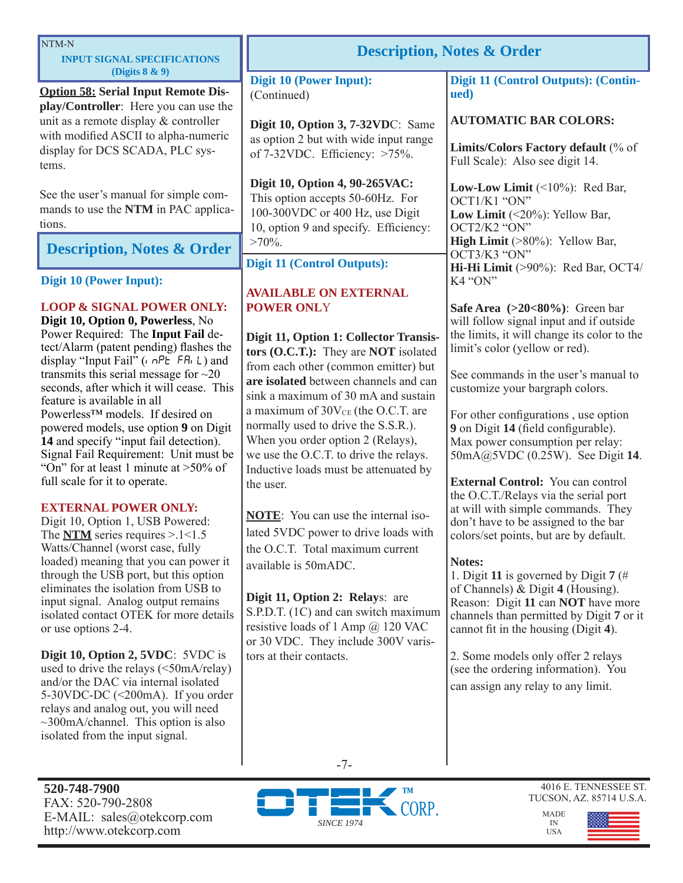| NTM-N<br><b>INPUT SIGNAL SPECIFICATIONS</b>                                                                                                                                                                                                                                                                                                                                                                                                                                                                                                                                                                                                                                                                                                                                                                                                                                                                                                                                                                                                                                                                                                                                                                                                                                                        | <b>Description, Notes &amp; Order</b>                                                                                                                                                                                                                                                                                                                                                                                                                                                                                                                                                                                                                                                                                                                                                            |                                                                                                                                                                                                                                                                                                                                                                                                                                                                                                                                                                                                                                                                                                                                                                                                                                                                                                                                                    |
|----------------------------------------------------------------------------------------------------------------------------------------------------------------------------------------------------------------------------------------------------------------------------------------------------------------------------------------------------------------------------------------------------------------------------------------------------------------------------------------------------------------------------------------------------------------------------------------------------------------------------------------------------------------------------------------------------------------------------------------------------------------------------------------------------------------------------------------------------------------------------------------------------------------------------------------------------------------------------------------------------------------------------------------------------------------------------------------------------------------------------------------------------------------------------------------------------------------------------------------------------------------------------------------------------|--------------------------------------------------------------------------------------------------------------------------------------------------------------------------------------------------------------------------------------------------------------------------------------------------------------------------------------------------------------------------------------------------------------------------------------------------------------------------------------------------------------------------------------------------------------------------------------------------------------------------------------------------------------------------------------------------------------------------------------------------------------------------------------------------|----------------------------------------------------------------------------------------------------------------------------------------------------------------------------------------------------------------------------------------------------------------------------------------------------------------------------------------------------------------------------------------------------------------------------------------------------------------------------------------------------------------------------------------------------------------------------------------------------------------------------------------------------------------------------------------------------------------------------------------------------------------------------------------------------------------------------------------------------------------------------------------------------------------------------------------------------|
| (Digits $8 & 9$ )<br><b>Option 58: Serial Input Remote Dis-</b>                                                                                                                                                                                                                                                                                                                                                                                                                                                                                                                                                                                                                                                                                                                                                                                                                                                                                                                                                                                                                                                                                                                                                                                                                                    | <b>Digit 10 (Power Input):</b><br>(Continued)                                                                                                                                                                                                                                                                                                                                                                                                                                                                                                                                                                                                                                                                                                                                                    | Digit 11 (Control Outputs): (Contin-<br>ued)                                                                                                                                                                                                                                                                                                                                                                                                                                                                                                                                                                                                                                                                                                                                                                                                                                                                                                       |
| play/Controller: Here you can use the<br>unit as a remote display & controller<br>with modified ASCII to alpha-numeric<br>display for DCS SCADA, PLC sys-<br>tems.                                                                                                                                                                                                                                                                                                                                                                                                                                                                                                                                                                                                                                                                                                                                                                                                                                                                                                                                                                                                                                                                                                                                 | Digit 10, Option 3, 7-32VDC: Same<br>as option 2 but with wide input range<br>of $7-32$ VDC. Efficiency: $>75\%$ .                                                                                                                                                                                                                                                                                                                                                                                                                                                                                                                                                                                                                                                                               | <b>AUTOMATIC BAR COLORS:</b><br>Limits/Colors Factory default (% of<br>Full Scale): Also see digit 14.                                                                                                                                                                                                                                                                                                                                                                                                                                                                                                                                                                                                                                                                                                                                                                                                                                             |
| See the user's manual for simple com-<br>mands to use the NTM in PAC applica-<br>tions.                                                                                                                                                                                                                                                                                                                                                                                                                                                                                                                                                                                                                                                                                                                                                                                                                                                                                                                                                                                                                                                                                                                                                                                                            | Digit 10, Option 4, 90-265VAC:<br>This option accepts 50-60Hz. For<br>100-300VDC or 400 Hz, use Digit<br>10, option 9 and specify. Efficiency:                                                                                                                                                                                                                                                                                                                                                                                                                                                                                                                                                                                                                                                   | Low-Low Limit $(\leq 10\%)$ : Red Bar,<br>OCT1/K1 "ON"<br>Low Limit $(\leq 20\%)$ : Yellow Bar,<br>OCT2/K2 "ON"                                                                                                                                                                                                                                                                                                                                                                                                                                                                                                                                                                                                                                                                                                                                                                                                                                    |
| <b>Description, Notes &amp; Order</b>                                                                                                                                                                                                                                                                                                                                                                                                                                                                                                                                                                                                                                                                                                                                                                                                                                                                                                                                                                                                                                                                                                                                                                                                                                                              | $>70\%$ .<br><b>Digit 11 (Control Outputs):</b>                                                                                                                                                                                                                                                                                                                                                                                                                                                                                                                                                                                                                                                                                                                                                  | <b>High Limit</b> $( >80\%)$ : Yellow Bar,<br>OCT3/K3 "ON"<br>Hi-Hi Limit (>90%): Red Bar, OCT4/                                                                                                                                                                                                                                                                                                                                                                                                                                                                                                                                                                                                                                                                                                                                                                                                                                                   |
| <b>Digit 10 (Power Input):</b>                                                                                                                                                                                                                                                                                                                                                                                                                                                                                                                                                                                                                                                                                                                                                                                                                                                                                                                                                                                                                                                                                                                                                                                                                                                                     | <b>AVAILABLE ON EXTERNAL</b>                                                                                                                                                                                                                                                                                                                                                                                                                                                                                                                                                                                                                                                                                                                                                                     | K4 "ON"                                                                                                                                                                                                                                                                                                                                                                                                                                                                                                                                                                                                                                                                                                                                                                                                                                                                                                                                            |
| <b>LOOP &amp; SIGNAL POWER ONLY:</b><br>Digit 10, Option 0, Powerless, No<br>Power Required: The Input Fail de-<br>tect/Alarm (patent pending) flashes the<br>display "Input Fail" ( $nPE$ FA, L) and<br>transmits this serial message for $\sim$ 20<br>seconds, after which it will cease. This<br>feature is available in all<br>Powerless <sup>™</sup> models. If desired on<br>powered models, use option 9 on Digit<br>14 and specify "input fail detection).<br>Signal Fail Requirement: Unit must be<br>"On" for at least 1 minute at $>50\%$ of<br>full scale for it to operate.<br><b>EXTERNAL POWER ONLY:</b><br>Digit 10, Option 1, USB Powered:<br>The $NTM$ series requires > .1 < 1.5<br>Watts/Channel (worst case, fully<br>loaded) meaning that you can power it<br>through the USB port, but this option<br>eliminates the isolation from USB to<br>input signal. Analog output remains<br>isolated contact OTEK for more details<br>or use options 2-4.<br>Digit 10, Option 2, 5VDC: 5VDC is<br>used to drive the relays $(\leq 50 \text{mA/} \text{relay})$<br>and/or the DAC via internal isolated<br>5-30VDC-DC $(\leq 200 \text{mA})$ . If you order<br>relays and analog out, you will need<br>$\sim$ 300mA/channel. This option is also<br>isolated from the input signal. | <b>POWER ONLY</b><br>Digit 11, Option 1: Collector Transis-<br>tors (O.C.T.): They are NOT isolated<br>from each other (common emitter) but<br>are isolated between channels and can<br>sink a maximum of 30 mA and sustain<br>a maximum of 30V <sub>CE</sub> (the O.C.T. are<br>normally used to drive the S.S.R.).<br>When you order option 2 (Relays),<br>we use the O.C.T. to drive the relays.<br>Inductive loads must be attenuated by<br>the user.<br><b>NOTE:</b> You can use the internal iso-<br>lated 5VDC power to drive loads with<br>the O.C.T. Total maximum current<br>available is 50mADC.<br>Digit 11, Option 2: Relays: are<br>S.P.D.T. (1C) and can switch maximum<br>resistive loads of 1 Amp $@$ 120 VAC<br>or 30 VDC. They include 300V varis-<br>tors at their contacts. | Safe Area $(>20<80\%)$ : Green bar<br>will follow signal input and if outside<br>the limits, it will change its color to the<br>limit's color (yellow or red).<br>See commands in the user's manual to<br>customize your bargraph colors.<br>For other configurations, use option<br>9 on Digit 14 (field configurable).<br>Max power consumption per relay:<br>50mA@5VDC (0.25W). See Digit 14.<br><b>External Control:</b> You can control<br>the O.C.T./Relays via the serial port<br>at will with simple commands. They<br>don't have to be assigned to the bar<br>colors/set points, but are by default.<br>Notes:<br>1. Digit 11 is governed by Digit 7 (#<br>of Channels) & Digit 4 (Housing).<br>Reason: Digit 11 can NOT have more<br>channels than permitted by Digit 7 or it<br>cannot fit in the housing (Digit 4).<br>2. Some models only offer 2 relays<br>(see the ordering information). You<br>can assign any relay to any limit. |
| 520-748-7900                                                                                                                                                                                                                                                                                                                                                                                                                                                                                                                                                                                                                                                                                                                                                                                                                                                                                                                                                                                                                                                                                                                                                                                                                                                                                       | $-7-$<br><sup>N</sup> TM                                                                                                                                                                                                                                                                                                                                                                                                                                                                                                                                                                                                                                                                                                                                                                         | 4016 E. TENNESSEE ST.<br>THCSON AZ 25714 H S                                                                                                                                                                                                                                                                                                                                                                                                                                                                                                                                                                                                                                                                                                                                                                                                                                                                                                       |

FAX: 520-790-2808 E-MAIL: sales@otekcorp.com http://www.otekcorp.com



MADE

IN USA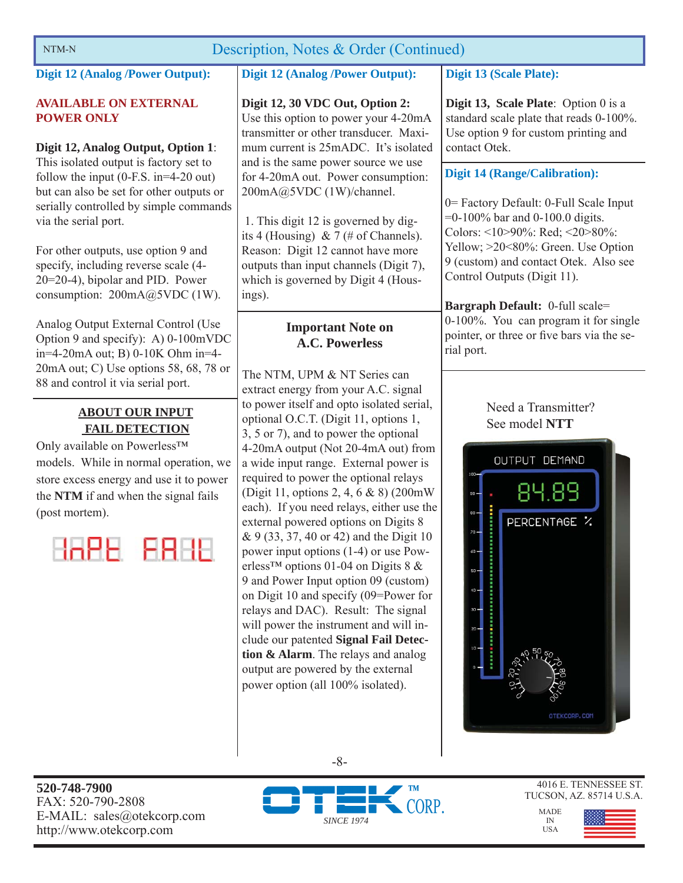# NTM-N Description, Notes & Order (Continued)

**Digit 12 (Analog /Power Output):** 

### **AVAILABLE ON EXTERNAL POWER ONLY**

## **Digit 12, Analog Output, Option 1**:

This isolated output is factory set to follow the input (0-F.S. in=4-20 out) but can also be set for other outputs or serially controlled by simple commands via the serial port.

For other outputs, use option 9 and specify, including reverse scale (4- 20=20-4), bipolar and PID. Power consumption:  $200mA@5VDC(1W)$ .

Analog Output External Control (Use Option 9 and specify): A) 0-100mVDC in=4-20mA out; B) 0-10K Ohm in=4- 20mA out; C) Use options 58, 68, 78 or 88 and control it via serial port.

# **ABOUT OUR INPUT FAIL DETECTION**

Only available on Powerless™ models. While in normal operation, we store excess energy and use it to power the **NTM** if and when the signal fails (post mortem).

HAPE FRHE

# **Digit 12 (Analog /Power Output):**

# **Digit 12, 30 VDC Out, Option 2:**

Use this option to power your 4-20mA transmitter or other transducer. Maximum current is 25mADC. It's isolated and is the same power source we use for 4-20mA out. Power consumption: 200mA@5VDC (1W)/channel.

 1. This digit 12 is governed by digits 4 (Housing) & 7 (# of Channels). Reason: Digit 12 cannot have more outputs than input channels (Digit 7), which is governed by Digit 4 (Housings).

# **Important Note on A.C. Powerless**

The NTM, UPM & NT Series can extract energy from your A.C. signal to power itself and opto isolated serial, optional O.C.T. (Digit 11, options 1, 3, 5 or 7), and to power the optional 4-20mA output (Not 20-4mA out) from a wide input range. External power is required to power the optional relays (Digit 11, options 2, 4, 6 & 8) (200mW each). If you need relays, either use the external powered options on Digits 8 & 9 (33, 37, 40 or 42) and the Digit 10 power input options (1-4) or use Powerless<sup>™</sup> options 01-04 on Digits 8  $\&$ 9 and Power Input option 09 (custom) on Digit 10 and specify (09=Power for relays and DAC). Result: The signal will power the instrument and will include our patented **Signal Fail Detection & Alarm**. The relays and analog output are powered by the external power option (all 100% isolated).

# **Digit 13 (Scale Plate):**

**Digit 13, Scale Plate**: Option 0 is a standard scale plate that reads 0-100%. Use option 9 for custom printing and contact Otek.

# **Digit 14 (Range/Calibration):**

0= Factory Default: 0-Full Scale Input =0-100% bar and 0-100.0 digits. Colors: <10>90%: Red; <20>80%: Yellow; >20<80%: Green. Use Option 9 (custom) and contact Otek. Also see Control Outputs (Digit 11).

**Bargraph Default:** 0-full scale= 0-100%. You can program it for single pointer, or three or five bars via the serial port.

> Need a Transmitter? See model **NTT**





-8-





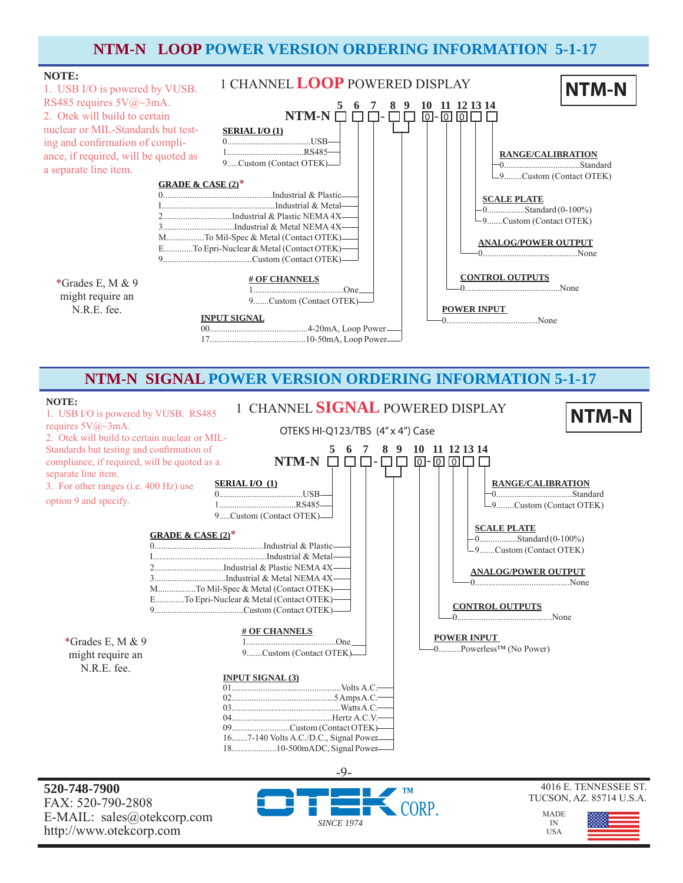# **NTM-N LOOP POWER VERSION ORDERING INFORMATION 5-1-17**



# **NTM-N SIGNAL POWER VERSION ORDERING INFORMATION 5-1-17**



**520-748-7900** FAX: 520-790-2808 E-MAIL: sales@otekcorp.com http://www.otekcorp.com



### 4016 E. TENNESSEE ST. TUCSON, AZ. 85714 U.S.A.

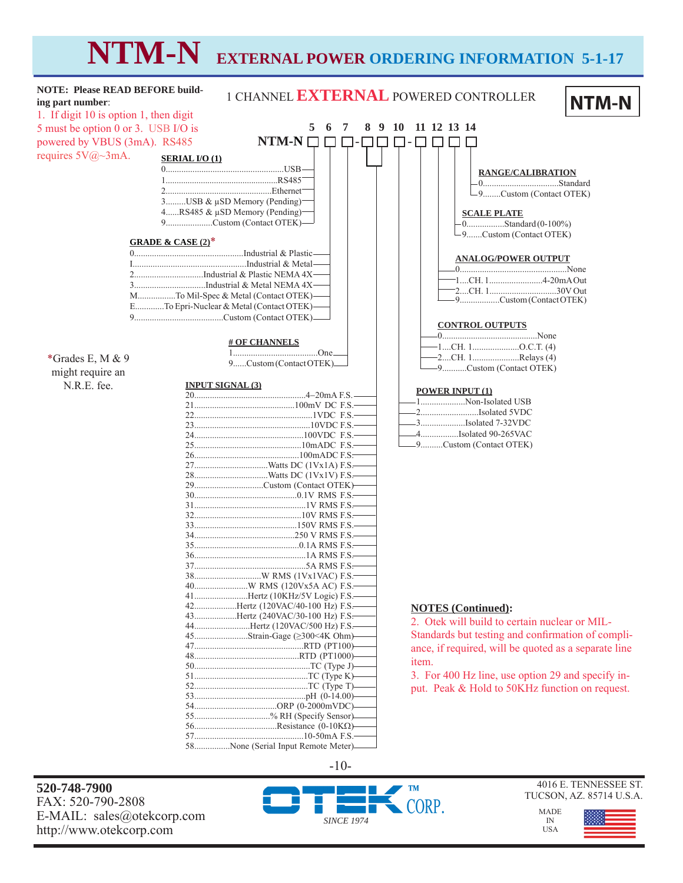# **NTM-N EXTERNAL POWER ORDERING INFORMATION 5-1-17**



FAX: 520-790-2808 E-MAIL: sales@otekcorp.com http://www.otekcorp.com



4016 E. TENNESSEE ST.

MADE

IN USA